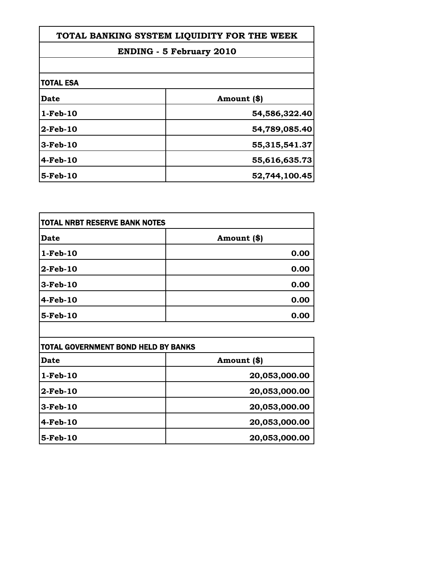| TOTAL BANKING SYSTEM LIQUIDITY FOR THE WEEK<br><b>ENDING - 5 February 2010</b> |               |
|--------------------------------------------------------------------------------|---------------|
|                                                                                |               |
| <b>TOTAL ESA</b>                                                               |               |
| <b>Date</b>                                                                    | Amount (\$)   |
| $1-Feb-10$                                                                     | 54,586,322.40 |
| $2$ -Feb-10                                                                    | 54,789,085.40 |
| 3-Feb-10                                                                       | 55,315,541.37 |
| $4-Feb-10$                                                                     | 55,616,635.73 |
| 5-Feb-10                                                                       | 52,744,100.45 |

| TOTAL NRBT RESERVE BANK NOTES |             |
|-------------------------------|-------------|
| <b>Date</b>                   | Amount (\$) |
| $1-Feb-10$                    | 0.00        |
| $2$ -Feb-10                   | 0.00        |
| $3$ -Feb-10                   | 0.00        |
| $4$ -Feb-10                   | 0.00        |
| $5$ -Feb-10                   | 0.00        |

| <b>TOTAL GOVERNMENT BOND HELD BY BANKS</b> |               |
|--------------------------------------------|---------------|
| <b>Date</b>                                | Amount (\$)   |
| $1-Feb-10$                                 | 20,053,000.00 |
| $2$ -Feb-10                                | 20,053,000.00 |
| $3-Feb-10$                                 | 20,053,000.00 |
| 4-Feb-10                                   | 20,053,000.00 |
| 5-Feb-10                                   | 20,053,000.00 |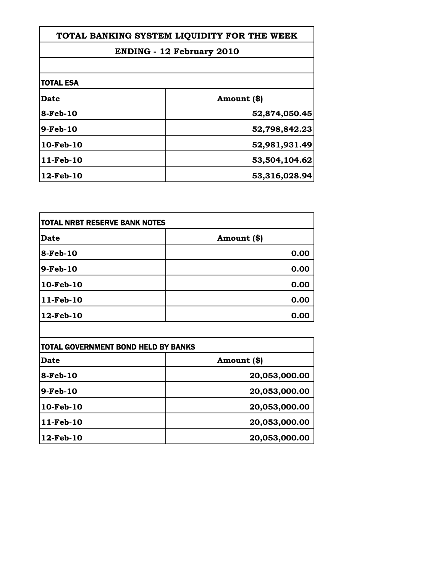| TOTAL BANKING SYSTEM LIQUIDITY FOR THE WEEK |               |
|---------------------------------------------|---------------|
| <b>ENDING - 12 February 2010</b>            |               |
|                                             |               |
| <b>TOTAL ESA</b>                            |               |
| <b>Date</b>                                 | Amount (\$)   |
| 8-Feb-10                                    | 52,874,050.45 |
| $9-Feb-10$                                  | 52,798,842.23 |
| $10$ -Feb- $10$                             | 52,981,931.49 |
| $11-Feb-10$                                 | 53,504,104.62 |
| 12-Feb-10                                   | 53,316,028.94 |

| <b>TOTAL NRBT RESERVE BANK NOTES</b> |             |
|--------------------------------------|-------------|
| <b>Date</b>                          | Amount (\$) |
| $8$ -Feb-10                          | 0.00        |
| $9$ -Feb-10                          | 0.00        |
| 10-Feb-10                            | 0.00        |
| 11-Feb-10                            | 0.00        |
| $12$ -Feb- $10$                      | 0.00        |

| <b>TOTAL GOVERNMENT BOND HELD BY BANKS</b> |               |
|--------------------------------------------|---------------|
| Date                                       | Amount (\$)   |
| 8-Feb-10                                   | 20,053,000.00 |
| 9-Feb-10                                   | 20,053,000.00 |
| 10-Feb-10                                  | 20,053,000.00 |
| 11-Feb-10                                  | 20,053,000.00 |
| 12-Feb-10                                  | 20,053,000.00 |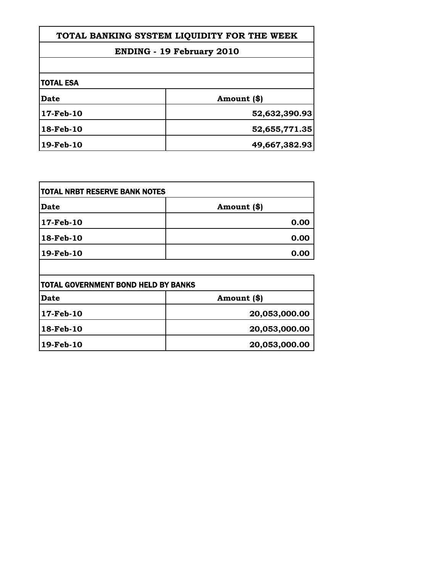| TOTAL BANKING SYSTEM LIQUIDITY FOR THE WEEK<br><b>ENDING - 19 February 2010</b> |               |
|---------------------------------------------------------------------------------|---------------|
|                                                                                 |               |
| <b>TOTAL ESA</b>                                                                |               |
| Date                                                                            | Amount (\$)   |
| 17-Feb-10                                                                       | 52,632,390.93 |
| 18-Feb-10                                                                       | 52,655,771.35 |
| 19-Feb-10                                                                       | 49,667,382.93 |

| <b>TOTAL NRBT RESERVE BANK NOTES</b> |             |
|--------------------------------------|-------------|
| <b>Date</b>                          | Amount (\$) |
| 17-Feb-10                            | 0.00        |
| $18$ -Feb-10                         | 0.00        |
| 19-Feb-10                            | 0.00        |
|                                      |             |

| <b>TOTAL GOVERNMENT BOND HELD BY BANKS</b> |               |
|--------------------------------------------|---------------|
| <b>Date</b>                                | Amount (\$)   |
| 17-Feb-10                                  | 20,053,000.00 |
| 18-Feb-10                                  | 20,053,000.00 |
| 19-Feb-10                                  | 20,053,000.00 |